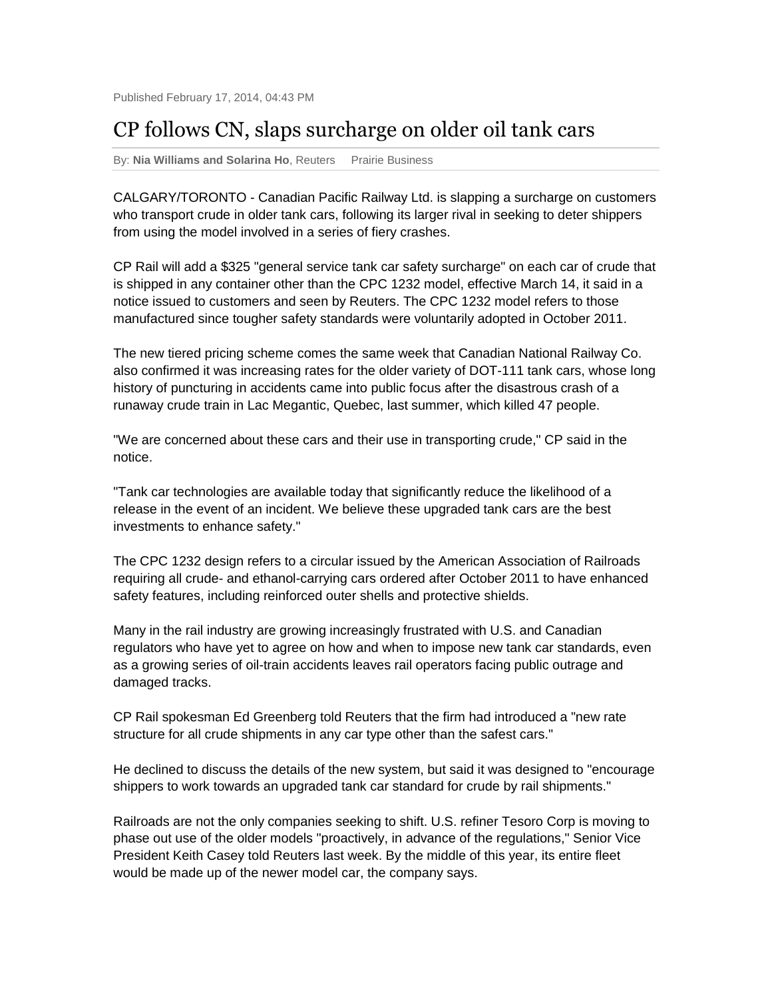## CP follows CN, slaps surcharge on older oil tank cars

By: **Nia Williams and Solarina Ho**, Reuters Prairie Business

CALGARY/TORONTO - Canadian Pacific Railway Ltd. is slapping a surcharge on customers who transport crude in older tank cars, following its larger rival in seeking to deter shippers from using the model involved in a series of fiery crashes.

CP Rail will add a \$325 "general service tank car safety surcharge" on each car of crude that is shipped in any container other than the CPC 1232 model, effective March 14, it said in a notice issued to customers and seen by Reuters. The CPC 1232 model refers to those manufactured since tougher safety standards were voluntarily adopted in October 2011.

The new tiered pricing scheme comes the same week that Canadian National Railway Co. also confirmed it was increasing rates for the older variety of DOT-111 tank cars, whose long history of puncturing in accidents came into public focus after the disastrous crash of a runaway crude train in Lac Megantic, Quebec, last summer, which killed 47 people.

"We are concerned about these cars and their use in transporting crude," CP said in the notice.

"Tank car technologies are available today that significantly reduce the likelihood of a release in the event of an incident. We believe these upgraded tank cars are the best investments to enhance safety."

The CPC 1232 design refers to a circular issued by the American Association of Railroads requiring all crude- and ethanol-carrying cars ordered after October 2011 to have enhanced safety features, including reinforced outer shells and protective shields.

Many in the rail industry are growing increasingly frustrated with U.S. and Canadian regulators who have yet to agree on how and when to impose new tank car standards, even as a growing series of oil-train accidents leaves rail operators facing public outrage and damaged tracks.

CP Rail spokesman Ed Greenberg told Reuters that the firm had introduced a "new rate structure for all crude shipments in any car type other than the safest cars."

He declined to discuss the details of the new system, but said it was designed to "encourage shippers to work towards an upgraded tank car standard for crude by rail shipments."

Railroads are not the only companies seeking to shift. U.S. refiner Tesoro Corp is moving to phase out use of the older models "proactively, in advance of the regulations," Senior Vice President Keith Casey told Reuters last week. By the middle of this year, its entire fleet would be made up of the newer model car, the company says.